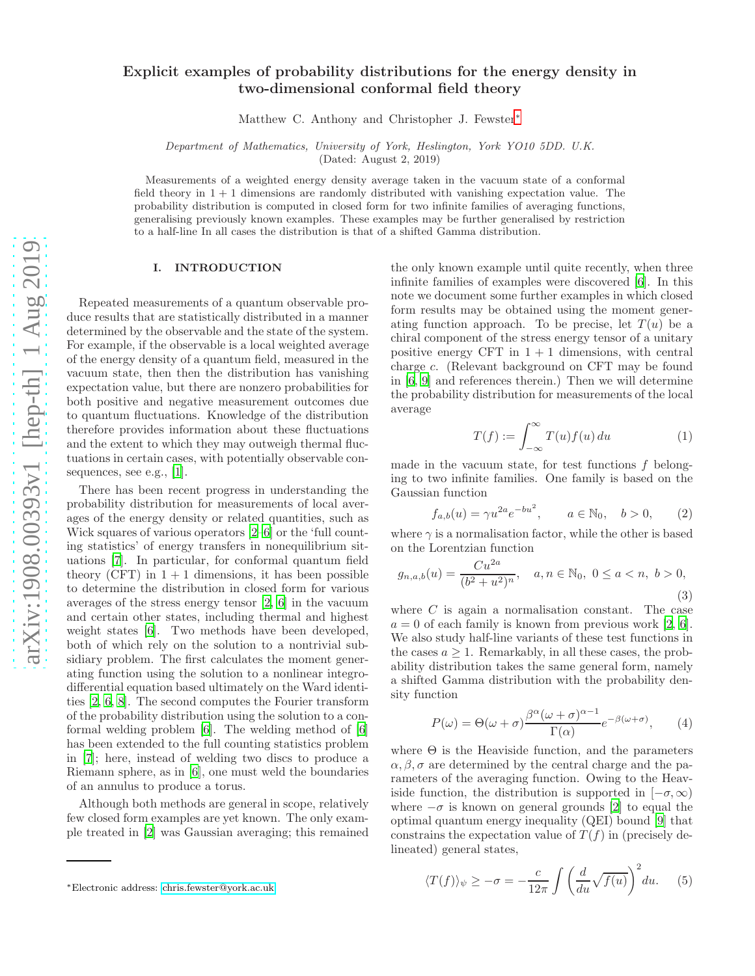# Explicit examples of probability distributions for the energy density in two-dimensional conformal field theory

Matthew C. Anthony and Christopher J. Fewster[∗](#page-0-0)

Department of Mathematics, University of York, Heslington, York YO10 5DD. U.K.

(Dated: August 2, 2019)

Measurements of a weighted energy density average taken in the vacuum state of a conformal field theory in  $1 + 1$  dimensions are randomly distributed with vanishing expectation value. The probability distribution is computed in closed form for two infinite families of averaging functions, generalising previously known examples. These examples may be further generalised by restriction to a half-line In all cases the distribution is that of a shifted Gamma distribution.

# I. INTRODUCTION

Repeated measurements of a quantum observable produce results that are statistically distributed in a manner determined by the observable and the state of the system. For example, if the observable is a local weighted average of the energy density of a quantum field, measured in the vacuum state, then then the distribution has vanishing expectation value, but there are nonzero probabilities for both positive and negative measurement outcomes due to quantum fluctuations. Knowledge of the distribution therefore provides information about these fluctuations and the extent to which they may outweigh thermal fluctuations in certain cases, with potentially observable consequences, see e.g., [\[1\]](#page-4-0).

There has been recent progress in understanding the probability distribution for measurements of local averages of the energy density or related quantities, such as Wick squares of various operators [\[2](#page-4-1)[–6\]](#page-4-2) or the 'full counting statistics' of energy transfers in nonequilibrium situations [\[7\]](#page-4-3). In particular, for conformal quantum field theory (CFT) in  $1 + 1$  dimensions, it has been possible to determine the distribution in closed form for various averages of the stress energy tensor [\[2](#page-4-1), [6\]](#page-4-2) in the vacuum and certain other states, including thermal and highest weight states [\[6\]](#page-4-2). Two methods have been developed, both of which rely on the solution to a nontrivial subsidiary problem. The first calculates the moment generating function using the solution to a nonlinear integrodifferential equation based ultimately on the Ward identities [\[2,](#page-4-1) [6](#page-4-2), [8\]](#page-4-4). The second computes the Fourier transform of the probability distribution using the solution to a conformal welding problem [\[6\]](#page-4-2). The welding method of [\[6](#page-4-2)] has been extended to the full counting statistics problem in [\[7\]](#page-4-3); here, instead of welding two discs to produce a Riemann sphere, as in [\[6\]](#page-4-2), one must weld the boundaries of an annulus to produce a torus.

Although both methods are general in scope, relatively few closed form examples are yet known. The only example treated in [\[2\]](#page-4-1) was Gaussian averaging; this remained

the only known example until quite recently, when three infinite families of examples were discovered [\[6](#page-4-2)]. In this note we document some further examples in which closed form results may be obtained using the moment generating function approach. To be precise, let  $T(u)$  be a chiral component of the stress energy tensor of a unitary positive energy CFT in  $1 + 1$  dimensions, with central charge c. (Relevant background on CFT may be found in [\[6](#page-4-2), [9](#page-4-5)] and references therein.) Then we will determine the probability distribution for measurements of the local average

$$
T(f) := \int_{-\infty}^{\infty} T(u)f(u) \, du \tag{1}
$$

made in the vacuum state, for test functions f belonging to two infinite families. One family is based on the Gaussian function

<span id="page-0-2"></span>
$$
f_{a,b}(u) = \gamma u^{2a} e^{-bu^2}, \qquad a \in \mathbb{N}_0, \quad b > 0,
$$
 (2)

where  $\gamma$  is a normalisation factor, while the other is based on the Lorentzian function

<span id="page-0-3"></span>
$$
g_{n,a,b}(u) = \frac{Cu^{2a}}{(b^2 + u^2)^n}, \quad a, n \in \mathbb{N}_0, \ 0 \le a < n, \ b > 0,\tag{3}
$$

where  $C$  is again a normalisation constant. The case  $a = 0$  of each family is known from previous work [\[2,](#page-4-1) [6\]](#page-4-2). We also study half-line variants of these test functions in the cases  $a \geq 1$ . Remarkably, in all these cases, the probability distribution takes the same general form, namely a shifted Gamma distribution with the probability density function

<span id="page-0-1"></span>
$$
P(\omega) = \Theta(\omega + \sigma) \frac{\beta^{\alpha}(\omega + \sigma)^{\alpha - 1}}{\Gamma(\alpha)} e^{-\beta(\omega + \sigma)}, \qquad (4)
$$

where  $\Theta$  is the Heaviside function, and the parameters  $\alpha, \beta, \sigma$  are determined by the central charge and the parameters of the averaging function. Owing to the Heaviside function, the distribution is supported in  $[-\sigma, \infty)$ where  $-\sigma$  is known on general grounds [\[2](#page-4-1)] to equal the optimal quantum energy inequality (QEI) bound [\[9](#page-4-5)] that constrains the expectation value of  $T(f)$  in (precisely delineated) general states,

<span id="page-0-4"></span>
$$
\langle T(f) \rangle_{\psi} \ge -\sigma = -\frac{c}{12\pi} \int \left( \frac{d}{du} \sqrt{f(u)} \right)^2 du. \tag{5}
$$

<span id="page-0-0"></span><sup>∗</sup>Electronic address: [chris.fewster@york.ac.uk](mailto:chris.fewster@york.ac.uk)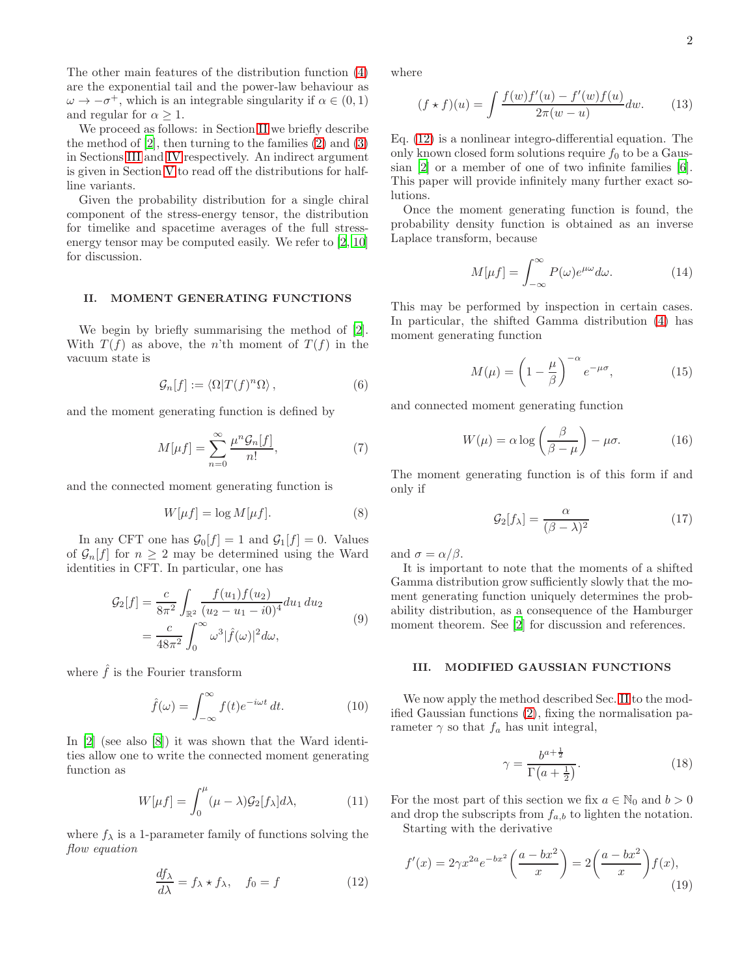The other main features of the distribution function [\(4\)](#page-0-1) are the exponential tail and the power-law behaviour as  $\omega \to -\sigma^+$ , which is an integrable singularity if  $\alpha \in (0, 1)$ and regular for  $\alpha \geq 1$ .

We proceed as follows: in Section [II](#page-1-0) we briefly describe the method of  $[2]$ , then turning to the families  $(2)$  and  $(3)$ in Sections [III](#page-1-1) and [IV](#page-2-0) respectively. An indirect argument is given in Section [V](#page-3-0) to read off the distributions for halfline variants.

Given the probability distribution for a single chiral component of the stress-energy tensor, the distribution for timelike and spacetime averages of the full stressenergy tensor may be computed easily. We refer to [\[2](#page-4-1), [10](#page-4-6)] for discussion.

## <span id="page-1-0"></span>II. MOMENT GENERATING FUNCTIONS

We begin by briefly summarising the method of [\[2\]](#page-4-1). With  $T(f)$  as above, the n'th moment of  $T(f)$  in the vacuum state is

$$
\mathcal{G}_n[f] := \langle \Omega | T(f)^n \Omega \rangle \,, \tag{6}
$$

and the moment generating function is defined by

$$
M[\mu f] = \sum_{n=0}^{\infty} \frac{\mu^n \mathcal{G}_n[f]}{n!},\tag{7}
$$

and the connected moment generating function is

$$
W[\mu f] = \log M[\mu f].\tag{8}
$$

In any CFT one has  $\mathcal{G}_0[f] = 1$  and  $\mathcal{G}_1[f] = 0$ . Values of  $\mathcal{G}_n[f]$  for  $n \geq 2$  may be determined using the Ward identities in CFT. In particular, one has

$$
\mathcal{G}_2[f] = \frac{c}{8\pi^2} \int_{\mathbb{R}^2} \frac{f(u_1)f(u_2)}{(u_2 - u_1 - i0)^4} du_1 du_2
$$
  
= 
$$
\frac{c}{48\pi^2} \int_0^\infty \omega^3 |\hat{f}(\omega)|^2 d\omega,
$$
 (9)

where  $\hat{f}$  is the Fourier transform

$$
\hat{f}(\omega) = \int_{-\infty}^{\infty} f(t)e^{-i\omega t} dt.
$$
 (10)

In [\[2\]](#page-4-1) (see also [\[8\]](#page-4-4)) it was shown that the Ward identities allow one to write the connected moment generating function as

$$
W[\mu f] = \int_0^\mu (\mu - \lambda) \mathcal{G}_2[f_\lambda] d\lambda,\tag{11}
$$

where  $f_{\lambda}$  is a 1-parameter family of functions solving the flow equation

<span id="page-1-2"></span>
$$
\frac{df_{\lambda}}{d\lambda} = f_{\lambda} \star f_{\lambda}, \quad f_0 = f \tag{12}
$$

where

$$
(f * f)(u) = \int \frac{f(w)f'(u) - f'(w)f(u)}{2\pi(w - u)} dw.
$$
 (13)

Eq. [\(12\)](#page-1-2) is a nonlinear integro-differential equation. The only known closed form solutions require  $f_0$  to be a Gaussian [\[2](#page-4-1)] or a member of one of two infinite families [\[6\]](#page-4-2). This paper will provide infinitely many further exact solutions.

Once the moment generating function is found, the probability density function is obtained as an inverse Laplace transform, because

$$
M[\mu f] = \int_{-\infty}^{\infty} P(\omega) e^{\mu \omega} d\omega.
$$
 (14)

This may be performed by inspection in certain cases. In particular, the shifted Gamma distribution [\(4\)](#page-0-1) has moment generating function

$$
M(\mu) = \left(1 - \frac{\mu}{\beta}\right)^{-\alpha} e^{-\mu\sigma},\tag{15}
$$

and connected moment generating function

$$
W(\mu) = \alpha \log \left( \frac{\beta}{\beta - \mu} \right) - \mu \sigma. \tag{16}
$$

The moment generating function is of this form if and only if

<span id="page-1-3"></span>
$$
\mathcal{G}_2[f_\lambda] = \frac{\alpha}{(\beta - \lambda)^2} \tag{17}
$$

and  $\sigma = \alpha/\beta$ .

It is important to note that the moments of a shifted Gamma distribution grow sufficiently slowly that the moment generating function uniquely determines the probability distribution, as a consequence of the Hamburger moment theorem. See [\[2\]](#page-4-1) for discussion and references.

#### <span id="page-1-1"></span>III. MODIFIED GAUSSIAN FUNCTIONS

We now apply the method described Sec. [II](#page-1-0) to the modified Gaussian functions [\(2\)](#page-0-2), fixing the normalisation parameter  $\gamma$  so that  $f_a$  has unit integral,

<span id="page-1-4"></span>
$$
\gamma = \frac{b^{a + \frac{1}{2}}}{\Gamma\left(a + \frac{1}{2}\right)}.\tag{18}
$$

For the most part of this section we fix  $a \in \mathbb{N}_0$  and  $b > 0$ and drop the subscripts from  $f_{a,b}$  to lighten the notation. Starting with the derivative

 $f'(x) = 2\gamma x^{2a} e^{-bx^2} \left( \frac{a - bx^2}{a - bx^2} \right)$  $\boldsymbol{x}$  $= 2\left(\frac{a - bx^2}{x}\right)$  $\boldsymbol{x}$  $f(x),$ (19)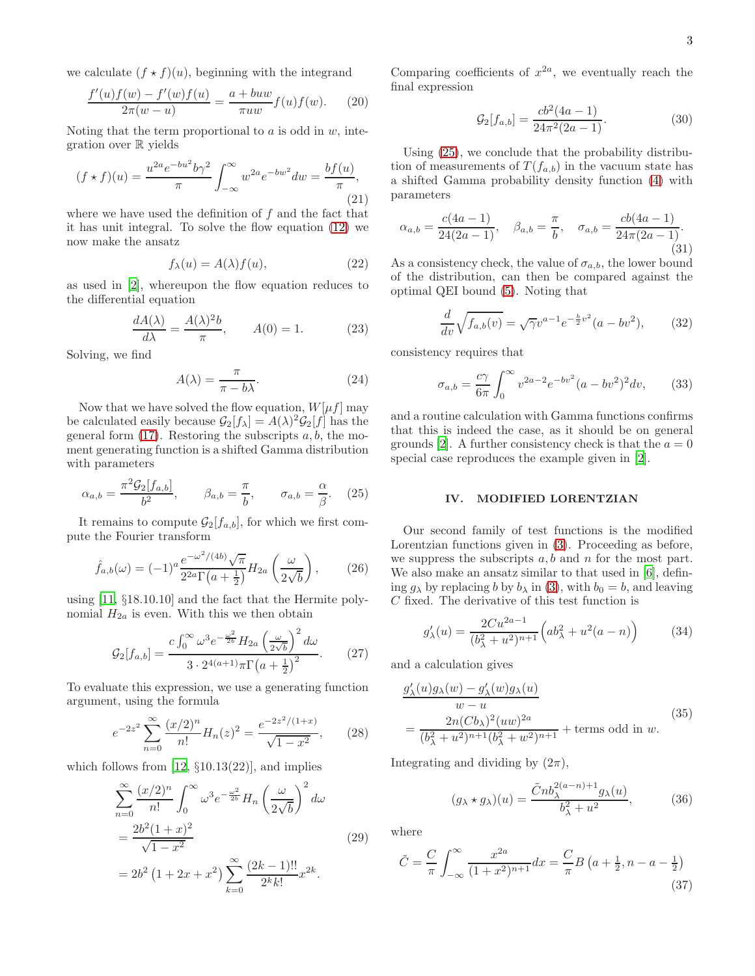we calculate  $(f \star f)(u)$ , beginning with the integrand

$$
\frac{f'(u)f(w) - f'(w)f(u)}{2\pi(w - u)} = \frac{a + buw}{\pi uw}f(u)f(w).
$$
 (20)

Noting that the term proportional to  $a$  is odd in  $w$ , integration over  $\mathbb R$  yields

$$
(f * f)(u) = \frac{u^{2a}e^{-bu^2}b\gamma^2}{\pi} \int_{-\infty}^{\infty} w^{2a}e^{-bw^2}dw = \frac{bf(u)}{\pi},
$$
\n(21)

where we have used the definition of  $f$  and the fact that it has unit integral. To solve the flow equation [\(12\)](#page-1-2) we now make the ansatz

$$
f_{\lambda}(u) = A(\lambda)f(u), \tag{22}
$$

as used in [\[2\]](#page-4-1), whereupon the flow equation reduces to the differential equation

$$
\frac{dA(\lambda)}{d\lambda} = \frac{A(\lambda)^2 b}{\pi}, \qquad A(0) = 1.
$$
 (23)

Solving, we find

$$
A(\lambda) = \frac{\pi}{\pi - b\lambda}.\tag{24}
$$

Now that we have solved the flow equation,  $W[\mu f]$  may be calculated easily because  $\mathcal{G}_2[f_\lambda] = A(\lambda)^2 \mathcal{G}_2[f]$  has the general form  $(17)$ . Restoring the subscripts  $a, b$ , the moment generating function is a shifted Gamma distribution with parameters

<span id="page-2-1"></span>
$$
\alpha_{a,b} = \frac{\pi^2 \mathcal{G}_2[f_{a,b}]}{b^2}, \qquad \beta_{a,b} = \frac{\pi}{b}, \qquad \sigma_{a,b} = \frac{\alpha}{\beta}. \tag{25}
$$

It remains to compute  $\mathcal{G}_2[f_{a,b}]$ , for which we first compute the Fourier transform

$$
\hat{f}_{a,b}(\omega) = (-1)^a \frac{e^{-\omega^2/(4b)} \sqrt{\pi}}{2^{2a} \Gamma\left(a + \frac{1}{2}\right)} H_{2a} \left(\frac{\omega}{2\sqrt{b}}\right),\tag{26}
$$

using [\[11,](#page-4-7) §18.10.10] and the fact that the Hermite polynomial  $H_{2a}$  is even. With this we then obtain

$$
\mathcal{G}_2[f_{a,b}] = \frac{c \int_0^\infty \omega^3 e^{-\frac{\omega^2}{2b}} H_{2a} \left(\frac{\omega}{2\sqrt{b}}\right)^2 d\omega}{3 \cdot 2^{4(a+1)} \pi \Gamma \left(a + \frac{1}{2}\right)^2}.
$$
 (27)

To evaluate this expression, we use a generating function argument, using the formula

<span id="page-2-2"></span>
$$
e^{-2z^2} \sum_{n=0}^{\infty} \frac{(x/2)^n}{n!} H_n(z)^2 = \frac{e^{-2z^2/(1+x)}}{\sqrt{1-x^2}},\qquad(28)
$$

which follows from  $[12, \S10.13(22)]$ , and implies

$$
\sum_{n=0}^{\infty} \frac{(x/2)^n}{n!} \int_0^{\infty} \omega^3 e^{-\frac{\omega^2}{2b}} H_n \left(\frac{\omega}{2\sqrt{b}}\right)^2 d\omega
$$
  
= 
$$
\frac{2b^2(1+x)^2}{\sqrt{1-x^2}}
$$
 (29)  
= 
$$
2b^2 \left(1 + 2x + x^2\right) \sum_{k=0}^{\infty} \frac{(2k-1)!!}{2^k k!} x^{2k}.
$$

Comparing coefficients of  $x^{2a}$ , we eventually reach the final expression

$$
\mathcal{G}_2[f_{a,b}] = \frac{cb^2(4a-1)}{24\pi^2(2a-1)}.\tag{30}
$$

Using [\(25\)](#page-2-1), we conclude that the probability distribution of measurements of  $T(f_{a,b})$  in the vacuum state has a shifted Gamma probability density function [\(4\)](#page-0-1) with parameters

$$
\alpha_{a,b} = \frac{c(4a-1)}{24(2a-1)}, \quad \beta_{a,b} = \frac{\pi}{b}, \quad \sigma_{a,b} = \frac{cb(4a-1)}{24\pi(2a-1)}.
$$
\n(31)

As a consistency check, the value of  $\sigma_{a,b}$ , the lower bound of the distribution, can then be compared against the optimal QEI bound [\(5\)](#page-0-4). Noting that

$$
\frac{d}{dv}\sqrt{f_{a,b}(v)} = \sqrt{\gamma}v^{a-1}e^{-\frac{b}{2}v^2}(a - bv^2),\qquad(32)
$$

consistency requires that

$$
\sigma_{a,b} = \frac{c\gamma}{6\pi} \int_0^\infty v^{2a-2} e^{-bv^2} (a - bv^2)^2 dv,\tag{33}
$$

and a routine calculation with Gamma functions confirms that this is indeed the case, as it should be on general grounds [\[2\]](#page-4-1). A further consistency check is that the  $a = 0$ special case reproduces the example given in [\[2](#page-4-1)].

## <span id="page-2-0"></span>IV. MODIFIED LORENTZIAN

Our second family of test functions is the modified Lorentzian functions given in [\(3\)](#page-0-3). Proceeding as before, we suppress the subscripts  $a, b$  and  $n$  for the most part. We also make an ansatz similar to that used in  $[6]$ , defining  $g_{\lambda}$  by replacing b by  $b_{\lambda}$  in [\(3\)](#page-0-3), with  $b_0 = b$ , and leaving C fixed. The derivative of this test function is

$$
g'_{\lambda}(u) = \frac{2Cu^{2a-1}}{(b_{\lambda}^2 + u^2)^{n+1}} \left( ab_{\lambda}^2 + u^2(a-n) \right)
$$
 (34)

and a calculation gives

$$
\frac{g'_{\lambda}(u)g_{\lambda}(w) - g'_{\lambda}(w)g_{\lambda}(u)}{w - u}
$$
\n
$$
= \frac{2n(Cb_{\lambda})^2(uw)^{2a}}{(b_{\lambda}^2 + u^2)^{n+1}(b_{\lambda}^2 + w^2)^{n+1}} + \text{terms odd in } w.
$$
\n(35)

Integrating and dividing by  $(2\pi)$ ,

$$
(g_{\lambda} \star g_{\lambda})(u) = \frac{\tilde{C}nb_{\lambda}^{2(a-n)+1}g_{\lambda}(u)}{b_{\lambda}^2 + u^2},
$$
 (36)

where

$$
\tilde{C} = \frac{C}{\pi} \int_{-\infty}^{\infty} \frac{x^{2a}}{(1+x^2)^{n+1}} dx = \frac{C}{\pi} B \left( a + \frac{1}{2}, n - a - \frac{1}{2} \right)
$$
\n(37)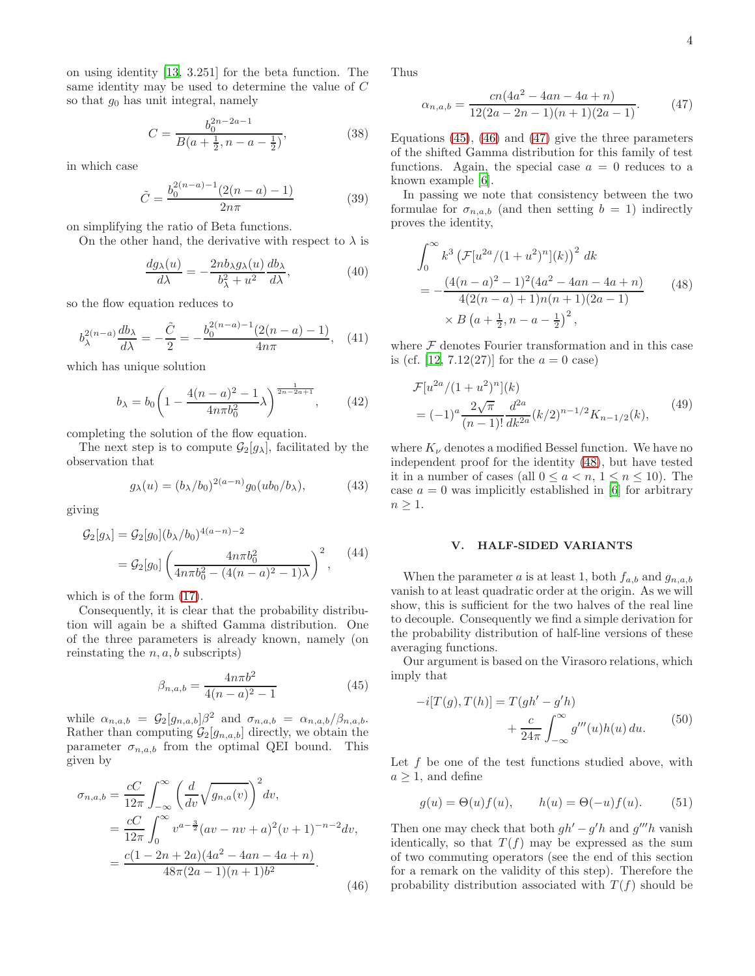on using identity [\[13,](#page-5-1) 3.251] for the beta function. The same identity may be used to determine the value of C so that  $g_0$  has unit integral, namely

<span id="page-3-5"></span>
$$
C = \frac{b_0^{2n-2a-1}}{B(a+\frac{1}{2}, n-a-\frac{1}{2})},
$$
\n(38)

in which case

$$
\tilde{C} = \frac{b_0^{2(n-a)-1}(2(n-a)-1)}{2n\pi} \tag{39}
$$

on simplifying the ratio of Beta functions.

On the other hand, the derivative with respect to  $\lambda$  is

$$
\frac{dg_{\lambda}(u)}{d\lambda} = -\frac{2nb_{\lambda}g_{\lambda}(u)}{b_{\lambda}^2 + u^2} \frac{db_{\lambda}}{d\lambda},\tag{40}
$$

so the flow equation reduces to

$$
b_{\lambda}^{2(n-a)} \frac{db_{\lambda}}{d\lambda} = -\frac{\tilde{C}}{2} = -\frac{b_0^{2(n-a)-1}(2(n-a)-1)}{4n\pi}, \quad (41)
$$

which has unique solution

$$
b_{\lambda} = b_0 \left( 1 - \frac{4(n-a)^2 - 1}{4n\pi b_0^2} \lambda \right)^{\frac{1}{2n-2a+1}}, \quad (42)
$$

completing the solution of the flow equation.

The next step is to compute  $\mathcal{G}_2[g_\lambda]$ , facilitated by the observation that

$$
g_{\lambda}(u) = (b_{\lambda}/b_0)^{2(a-n)} g_0(ub_0/b_{\lambda}), \tag{43}
$$

giving

$$
G_2[g_\lambda] = G_2[g_0](b_\lambda/b_0)^{4(a-n)-2}
$$
  
= 
$$
G_2[g_0] \left( \frac{4n\pi b_0^2}{4n\pi b_0^2 - (4(n-a)^2 - 1)\lambda} \right)^2,
$$
 (44)

which is of the form [\(17\)](#page-1-3).

Consequently, it is clear that the probability distribution will again be a shifted Gamma distribution. One of the three parameters is already known, namely (on reinstating the  $n, a, b$  subscripts)

<span id="page-3-1"></span>
$$
\beta_{n,a,b} = \frac{4n\pi b^2}{4(n-a)^2 - 1} \tag{45}
$$

while  $\alpha_{n,a,b} = \mathcal{G}_2[g_{n,a,b}]\beta^2$  and  $\sigma_{n,a,b} = \alpha_{n,a,b}/\beta_{n,a,b}$ . Rather than computing  $\mathcal{G}_2[g_{n,a,b}]$  directly, we obtain the parameter  $\sigma_{n,a,b}$  from the optimal QEI bound. This given by

<span id="page-3-2"></span>
$$
\sigma_{n,a,b} = \frac{cC}{12\pi} \int_{-\infty}^{\infty} \left(\frac{d}{dv} \sqrt{g_{n,a}(v)}\right)^2 dv,
$$
  
\n
$$
= \frac{cC}{12\pi} \int_{0}^{\infty} v^{a-\frac{3}{2}} (av - nv + a)^2 (v+1)^{-n-2} dv,
$$
  
\n
$$
= \frac{c(1-2n+2a)(4a^2 - 4an - 4a + n)}{48\pi (2a-1)(n+1)b^2}.
$$
\n(46)

Thus

<span id="page-3-3"></span>
$$
\alpha_{n,a,b} = \frac{cn(4a^2 - 4an - 4a + n)}{12(2a - 2n - 1)(n + 1)(2a - 1)}.\tag{47}
$$

Equations  $(45)$ ,  $(46)$  and  $(47)$  give the three parameters of the shifted Gamma distribution for this family of test functions. Again, the special case  $a = 0$  reduces to a known example [\[6](#page-4-2)].

In passing we note that consistency between the two formulae for  $\sigma_{n,a,b}$  (and then setting  $b = 1$ ) indirectly proves the identity,

<span id="page-3-4"></span>
$$
\int_0^\infty k^3 \left( \mathcal{F}[u^{2a}/(1+u^2)^n](k) \right)^2 dk
$$
  
= 
$$
-\frac{(4(n-a)^2-1)^2(4a^2-4an-4a+n)}{4(2(n-a)+1)n(n+1)(2a-1)}
$$
(48)  

$$
\times B\left(a+\frac{1}{2}, n-a-\frac{1}{2}\right)^2,
$$

where  $\mathcal F$  denotes Fourier transformation and in this case is (cf. [\[12](#page-5-0), 7.12(27)] for the  $a = 0$  case)

$$
\mathcal{F}[u^{2a}/(1+u^2)^n](k)
$$
  
=  $(-1)^a \frac{2\sqrt{\pi}}{(n-1)!} \frac{d^{2a}}{dk^{2a}} (k/2)^{n-1/2} K_{n-1/2}(k),$  (49)

where  $K_{\nu}$  denotes a modified Bessel function. We have no independent proof for the identity [\(48\)](#page-3-4), but have tested it in a number of cases (all  $0 \le a < n$ ,  $1 \le n \le 10$ ). The case  $a = 0$  was implicitly established in [\[6](#page-4-2)] for arbitrary  $n \geq 1$ .

#### <span id="page-3-0"></span>V. HALF-SIDED VARIANTS

When the parameter a is at least 1, both  $f_{a,b}$  and  $g_{n,a,b}$ vanish to at least quadratic order at the origin. As we will show, this is sufficient for the two halves of the real line to decouple. Consequently we find a simple derivation for the probability distribution of half-line versions of these averaging functions.

Our argument is based on the Virasoro relations, which imply that

<span id="page-3-6"></span>
$$
-i[T(g),T(h)] = T(gh' - g'h)
$$

$$
+ \frac{c}{24\pi} \int_{-\infty}^{\infty} g'''(u)h(u) du.
$$
 (50)

Let  $f$  be one of the test functions studied above, with  $a \geq 1$ , and define

$$
g(u) = \Theta(u)f(u), \qquad h(u) = \Theta(-u)f(u). \tag{51}
$$

Then one may check that both  $gh' - g'h$  and  $g'''h$  vanish identically, so that  $T(f)$  may be expressed as the sum of two commuting operators (see the end of this section for a remark on the validity of this step). Therefore the probability distribution associated with  $T(f)$  should be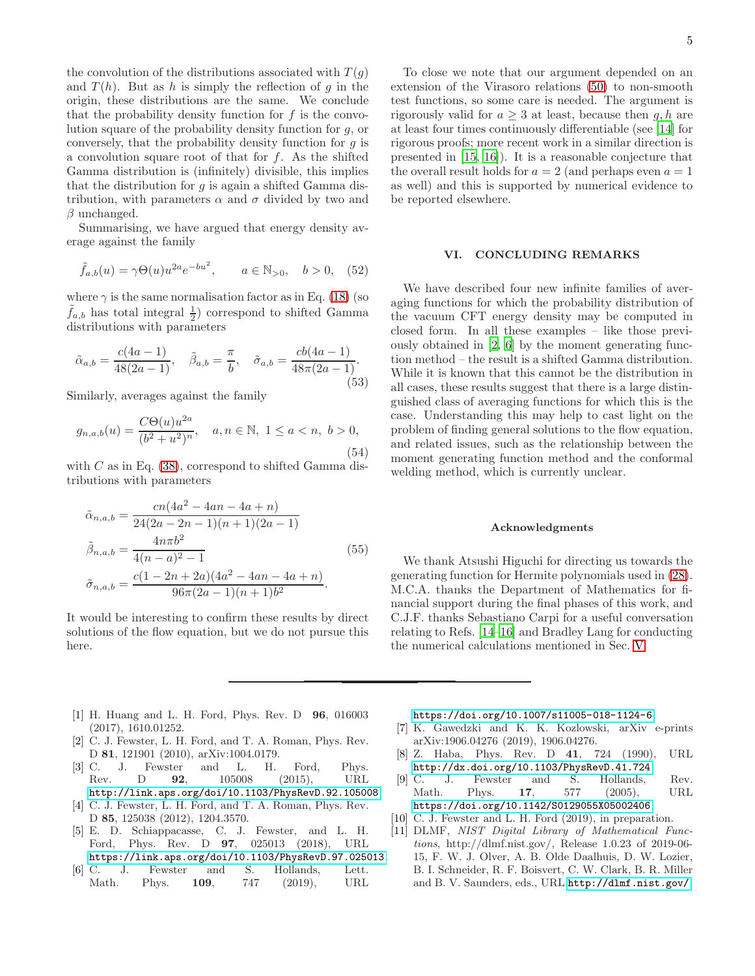the convolution of the distributions associated with  $T(g)$ and  $T(h)$ . But as h is simply the reflection of g in the origin, these distributions are the same. We conclude that the probability density function for  $f$  is the convolution square of the probability density function for g, or conversely, that the probability density function for  $q$  is a convolution square root of that for  $f$ . As the shifted Gamma distribution is (infinitely) divisible, this implies that the distribution for  $q$  is again a shifted Gamma distribution, with parameters  $\alpha$  and  $\sigma$  divided by two and  $\beta$  unchanged.

Summarising, we have argued that energy density average against the family

$$
\tilde{f}_{a,b}(u) = \gamma \Theta(u) u^{2a} e^{-bu^2}, \qquad a \in \mathbb{N}_{>0}, \quad b > 0, \quad (52)
$$

where  $\gamma$  is the same normalisation factor as in Eq. [\(18\)](#page-1-4) (so  $\tilde{f}_{a,b}$  has total integral  $\frac{1}{2}$  correspond to shifted Gamma distributions with parameters

$$
\tilde{\alpha}_{a,b} = \frac{c(4a-1)}{48(2a-1)}, \quad \tilde{\beta}_{a,b} = \frac{\pi}{b}, \quad \tilde{\sigma}_{a,b} = \frac{cb(4a-1)}{48\pi(2a-1)}.
$$
\n(53)

Similarly, averages against the family

$$
g_{n,a,b}(u) = \frac{C\Theta(u)u^{2a}}{(b^2 + u^2)^n}, \quad a, n \in \mathbb{N}, \ 1 \le a < n, \ b > 0,\tag{54}
$$

with  $C$  as in Eq. [\(38\)](#page-3-5), correspond to shifted Gamma distributions with parameters

$$
\tilde{\alpha}_{n,a,b} = \frac{cn(4a^2 - 4an - 4a + n)}{24(2a - 2n - 1)(n + 1)(2a - 1)}
$$

$$
\tilde{\beta}_{n,a,b} = \frac{4n\pi b^2}{4(n - a)^2 - 1}
$$
(55)
$$
\tilde{\sigma}_{n,a,b} = \frac{c(1 - 2n + 2a)(4a^2 - 4an - 4a + n)}{96\pi(2a - 1)(n + 1)b^2}.
$$

It would be interesting to confirm these results by direct solutions of the flow equation, but we do not pursue this here.

To close we note that our argument depended on an extension of the Virasoro relations [\(50\)](#page-3-6) to non-smooth test functions, so some care is needed. The argument is rigorously valid for  $a \geq 3$  at least, because then  $g, h$  are at least four times continuously differentiable (see [\[14\]](#page-5-2) for rigorous proofs; more recent work in a similar direction is presented in [\[15,](#page-5-3) [16\]](#page-5-4)). It is a reasonable conjecture that the overall result holds for  $a = 2$  (and perhaps even  $a = 1$ ) as well) and this is supported by numerical evidence to be reported elsewhere.

## VI. CONCLUDING REMARKS

We have described four new infinite families of averaging functions for which the probability distribution of the vacuum CFT energy density may be computed in closed form. In all these examples – like those previously obtained in [\[2,](#page-4-1) [6\]](#page-4-2) by the moment generating function method – the result is a shifted Gamma distribution. While it is known that this cannot be the distribution in all cases, these results suggest that there is a large distinguished class of averaging functions for which this is the case. Understanding this may help to cast light on the problem of finding general solutions to the flow equation, and related issues, such as the relationship between the moment generating function method and the conformal welding method, which is currently unclear.

## Acknowledgments

We thank Atsushi Higuchi for directing us towards the generating function for Hermite polynomials used in [\(28\)](#page-2-2). M.C.A. thanks the Department of Mathematics for financial support during the final phases of this work, and C.J.F. thanks Sebastiano Carpi for a useful conversation relating to Refs. [\[14](#page-5-2)[–16\]](#page-5-4) and Bradley Lang for conducting the numerical calculations mentioned in Sec. [V.](#page-3-0)

- <span id="page-4-0"></span>[1] H. Huang and L. H. Ford, Phys. Rev. D 96, 016003 (2017), 1610.01252.
- <span id="page-4-1"></span>[2] C. J. Fewster, L. H. Ford, and T. A. Roman, Phys. Rev. D 81, 121901 (2010), arXiv:1004.0179.
- [3] C. J. Fewster and L. H. Ford, Phys. Rev. D **92**, 105008 (2015), URL <http://link.aps.org/doi/10.1103/PhysRevD.92.105008>.
- [4] C. J. Fewster, L. H. Ford, and T. A. Roman, Phys. Rev. D 85, 125038 (2012), 1204.3570.
- [5] E. D. Schiappacasse, C. J. Fewster, and L. H. Ford, Phys. Rev. D 97, 025013 (2018), URL <https://link.aps.org/doi/10.1103/PhysRevD.97.025013>.
- <span id="page-4-2"></span>[6] C. J. Fewster and S. Hollands, Lett. Math. Phys. **109**, 747 (2019), URL

<https://doi.org/10.1007/s11005-018-1124-6>.

- <span id="page-4-3"></span>[7] K. Gawedzki and K. K. Kozlowski, arXiv e-prints arXiv:1906.04276 (2019), 1906.04276.
- <span id="page-4-4"></span>[8] Z. Haba, Phys. Rev. D 41, 724 (1990), URL <http://dx.doi.org/10.1103/PhysRevD.41.724>.
- <span id="page-4-5"></span>[9] C. J. Fewster and S. Hollands, Rev. Math. Phys. **17**, 577 (2005), URL <https://doi.org/10.1142/S0129055X05002406>.
- <span id="page-4-6"></span>[10] C. J. Fewster and L. H. Ford  $(2019)$ , in preparation.
- <span id="page-4-7"></span>[11] DLMF, NIST Digital Library of Mathematical Functions, http://dlmf.nist.gov/, Release 1.0.23 of 2019-06- 15, F. W. J. Olver, A. B. Olde Daalhuis, D. W. Lozier, B. I. Schneider, R. F. Boisvert, C. W. Clark, B. R. Miller and B. V. Saunders, eds., URL <http://dlmf.nist.gov/>.